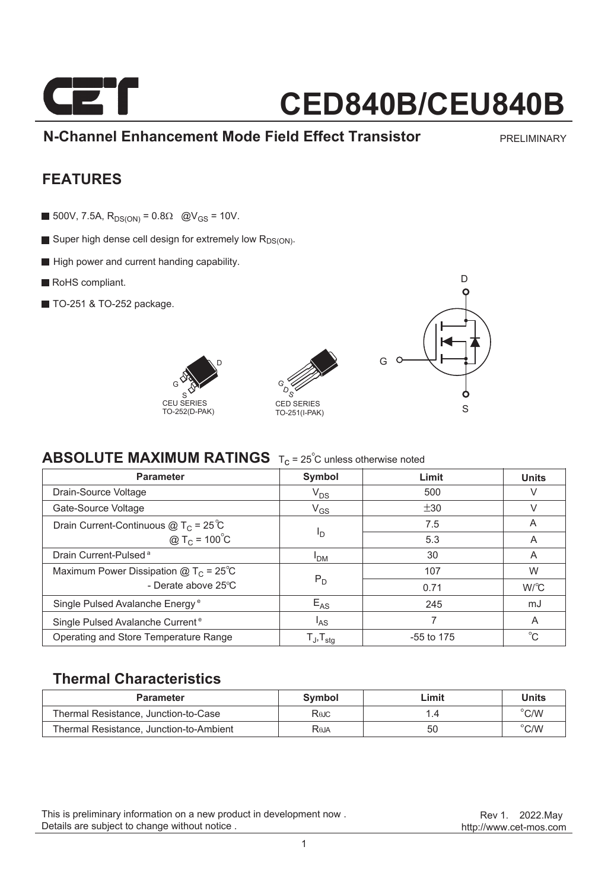

**N-Channel Enhancement Mode Field Effect Transistor**

PRELIMINARY

### **FEATURES**

- 500V, 7.5A,  $R_{DS(ON)} = 0.8\Omega$  @V<sub>GS</sub> = 10V.
- Super high dense cell design for extremely low R<sub>DS(ON)</sub>.
- High power and current handing capability.
- RoHS compliant.
- **TO-251 & TO-252 package.**







### **ABSOLUTE MAXIMUM RATINGS** T<sub>c</sub> = 25<sup>°</sup>C unless otherwise noted

| <b>Parameter</b>                              | Symbol                   | Limit        | <b>Units</b> |
|-----------------------------------------------|--------------------------|--------------|--------------|
| Drain-Source Voltage                          | $V_{DS}$                 | 500          | V            |
| Gate-Source Voltage                           | $V_{GS}$                 | ±30          | V            |
| Drain Current-Continuous $@T_C = 25^{\circ}C$ | פי                       | 7.5          | A            |
| @ T <sub>C</sub> = $100^{\circ}$ C            |                          | 5.3          | A            |
| Drain Current-Pulsed <sup>a</sup>             | <b>PDM</b>               | 30           | A            |
| Maximum Power Dissipation $@TC = 25°C$        |                          | 107          | W            |
| - Derate above 25°C                           | $P_D$                    | 0.71         | $W^{\circ}C$ |
| Single Pulsed Avalanche Energy <sup>e</sup>   | $E_{AS}$                 | 245          | mJ           |
| Single Pulsed Avalanche Current <sup>e</sup>  | l <sub>AS</sub>          |              | A            |
| Operating and Store Temperature Range         | $T_J$ , $T_{\text{stq}}$ | $-55$ to 175 | $^{\circ}$ C |

### **Thermal Characteristics**

| <b>Parameter</b>                        | Symbol      | ∟imit | <b>Units</b>  |
|-----------------------------------------|-------------|-------|---------------|
| Thermal Resistance, Junction-to-Case    | Rejc        |       | $\degree$ C/W |
| Thermal Resistance, Junction-to-Ambient | <b>Reja</b> | 50    | $\degree$ C/W |

This is preliminary information on a new product in development now . Details are subject to change without notice .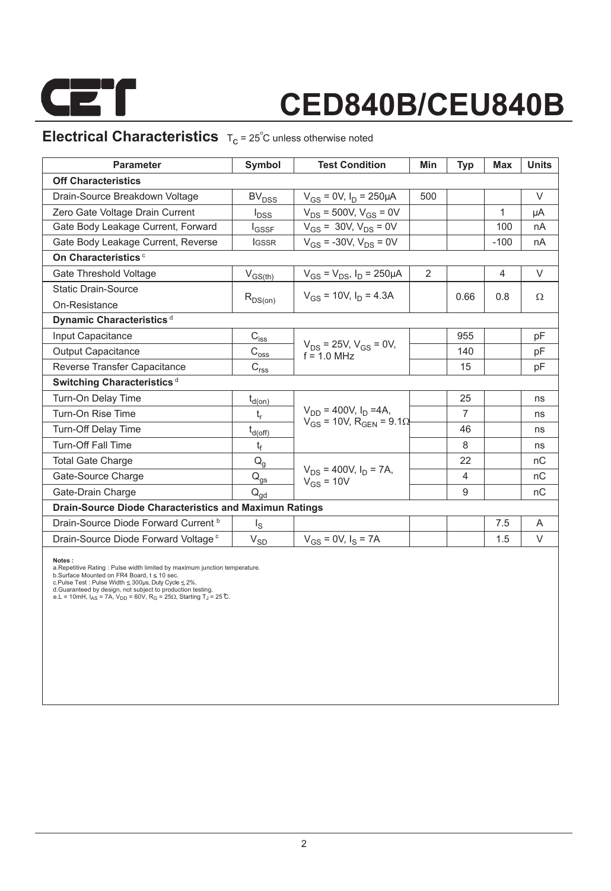

### **Electrical Characteristics**  $T_c = 25^\circ$ C unless otherwise noted

| <b>Parameter</b>                                              | Symbol                                          | <b>Test Condition</b>                           | Min | Typ            | <b>Max</b> | <b>Units</b> |  |  |  |
|---------------------------------------------------------------|-------------------------------------------------|-------------------------------------------------|-----|----------------|------------|--------------|--|--|--|
| <b>Off Characteristics</b>                                    |                                                 |                                                 |     |                |            |              |  |  |  |
| Drain-Source Breakdown Voltage                                | <b>BV<sub>DSS</sub></b>                         | $V_{GS} = 0V$ , $I_D = 250 \mu A$               | 500 |                |            | $\vee$       |  |  |  |
| Zero Gate Voltage Drain Current                               | $I_{\text{DSS}}$                                | $V_{DS}$ = 500V, $V_{GS}$ = 0V                  |     |                | 1          | μA           |  |  |  |
| Gate Body Leakage Current, Forward                            | <b>I</b> GSSF                                   | $V_{GS}$ = 30V, $V_{DS}$ = 0V                   |     |                | 100        | nA           |  |  |  |
| Gate Body Leakage Current, Reverse                            | <b>IGSSR</b>                                    | $V_{GS}$ = -30V, $V_{DS}$ = 0V                  |     |                | $-100$     | nA           |  |  |  |
| On Characteristics <sup>c</sup>                               |                                                 |                                                 |     |                |            |              |  |  |  |
| Gate Threshold Voltage                                        | $V_{GS(th)}$                                    | $V_{GS} = V_{DS}$ , $I_D = 250 \mu A$           | 2   |                | 4          | V            |  |  |  |
| <b>Static Drain-Source</b>                                    | $R_{DS(on)}$                                    | $V_{gs}$ = 10V, $I_D$ = 4.3A                    |     | 0.66           | 0.8        | Ω            |  |  |  |
| On-Resistance                                                 |                                                 |                                                 |     |                |            |              |  |  |  |
| Dynamic Characteristics <sup>d</sup>                          |                                                 |                                                 |     |                |            |              |  |  |  |
| Input Capacitance                                             | $C_{is\underline{s}}$                           |                                                 |     | 955            |            | pF           |  |  |  |
| <b>Output Capacitance</b>                                     | $C_{\rm{oss}}$                                  | $V_{DS}$ = 25V, $V_{GS}$ = 0V,<br>$f = 1.0$ MHz |     | 140            |            | pF           |  |  |  |
| Reverse Transfer Capacitance                                  | $C_{r \underline{s} \underline{s}}$             |                                                 |     | 15             |            | pF           |  |  |  |
| Switching Characteristics <sup>d</sup>                        |                                                 |                                                 |     |                |            |              |  |  |  |
| Turn-On Delay Time                                            | $t_{d(on)}$                                     |                                                 |     | 25             |            | ns           |  |  |  |
| Turn-On Rise Time                                             | $t_r$                                           | $V_{DD} = 400V$ , $I_D = 4A$ ,                  |     | $\overline{7}$ |            | ns           |  |  |  |
| Turn-Off Delay Time                                           | $t_{d(\text{off})}$                             | $V_{GS}$ = 10V, R <sub>GEN</sub> = 9.1 $\Omega$ |     | 46             |            | ns           |  |  |  |
| <b>Turn-Off Fall Time</b>                                     | t <sub>f</sub>                                  |                                                 |     | 8              |            | ns           |  |  |  |
| <b>Total Gate Charge</b>                                      | $Q_g$                                           |                                                 |     | 22             |            | nC           |  |  |  |
| Gate-Source Charge                                            | $\mathsf{Q}_{\underline{\mathsf{gs}}}$          | $V_{DS}$ = 400V, $I_D$ = 7A,<br>$V_{GS}$ = 10V  |     | $\overline{4}$ |            | nC           |  |  |  |
| Gate-Drain Charge                                             | $\mathsf{Q}_{\mathsf{g}\underline{\mathsf{d}}}$ |                                                 |     | 9              |            | nC           |  |  |  |
| <b>Drain-Source Diode Characteristics and Maximun Ratings</b> |                                                 |                                                 |     |                |            |              |  |  |  |
| Drain-Source Diode Forward Current b                          | $I_{\rm S}$                                     |                                                 |     |                | 7.5        | A            |  |  |  |
| Drain-Source Diode Forward Voltage <sup>c</sup>               | $V_{SD}$                                        | $V_{GS} = 0V$ , $I_S = 7A$                      |     |                | 1.5        | V            |  |  |  |

Notes :<br>a.Repetitive Rating : Pulse width limited by maximum junction temperature.<br>b.Surface Mounted on FR4 Board, t ≤ 10 sec.<br>c.Pulse Test : Pulse Width ≤ 300µs, Duty Cyde ≤ 2%.<br>d.Guaranteed by design, not subject to pro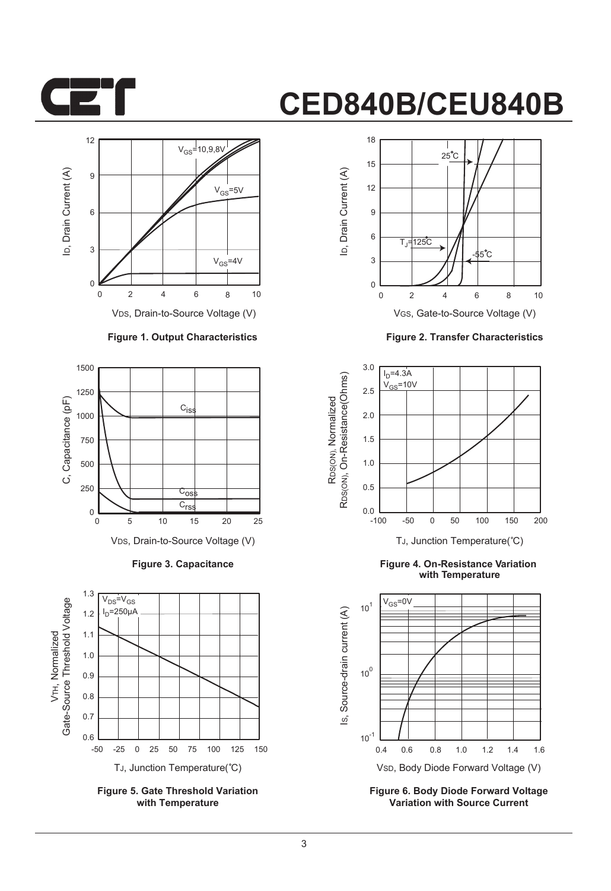



#### **Figure 1. Output Characteristics**



**Figure 3. Capacitance**



**Figure 5. Gate Threshold Variation with Temperature**



**Figure 2. Transfer Characteristics**



**Figure 4. On-Resistance Variation with Temperature**



**Figure 6. Body Diode Forward Voltage Variation with Source Current**

3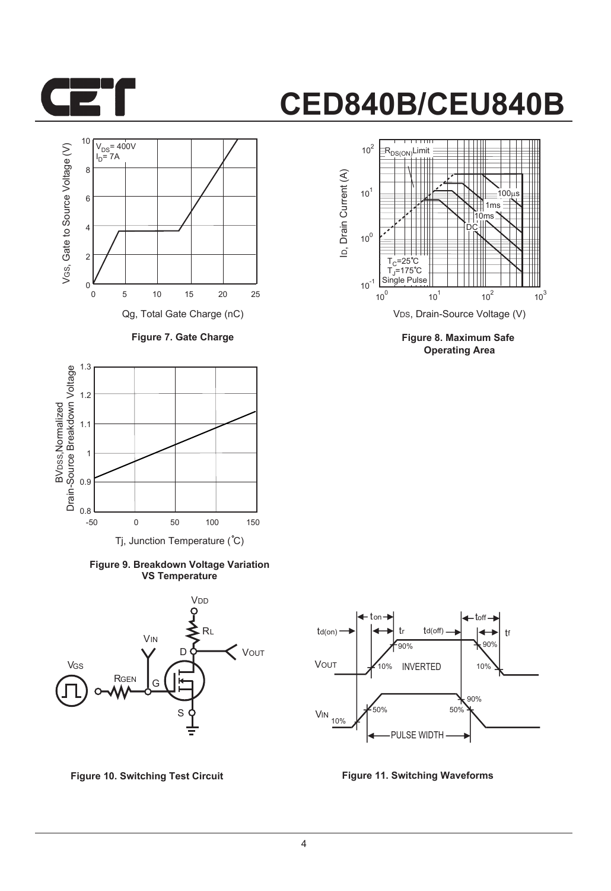



**Figure 7. Gate Charge**



**Figure 9. Breakdown Voltage Variation VS Temperature**





**Figure 8. Maximum Safe Operating Area**



**Figure 10. Switching Test Circuit Figure 11. Switching Waveforms**